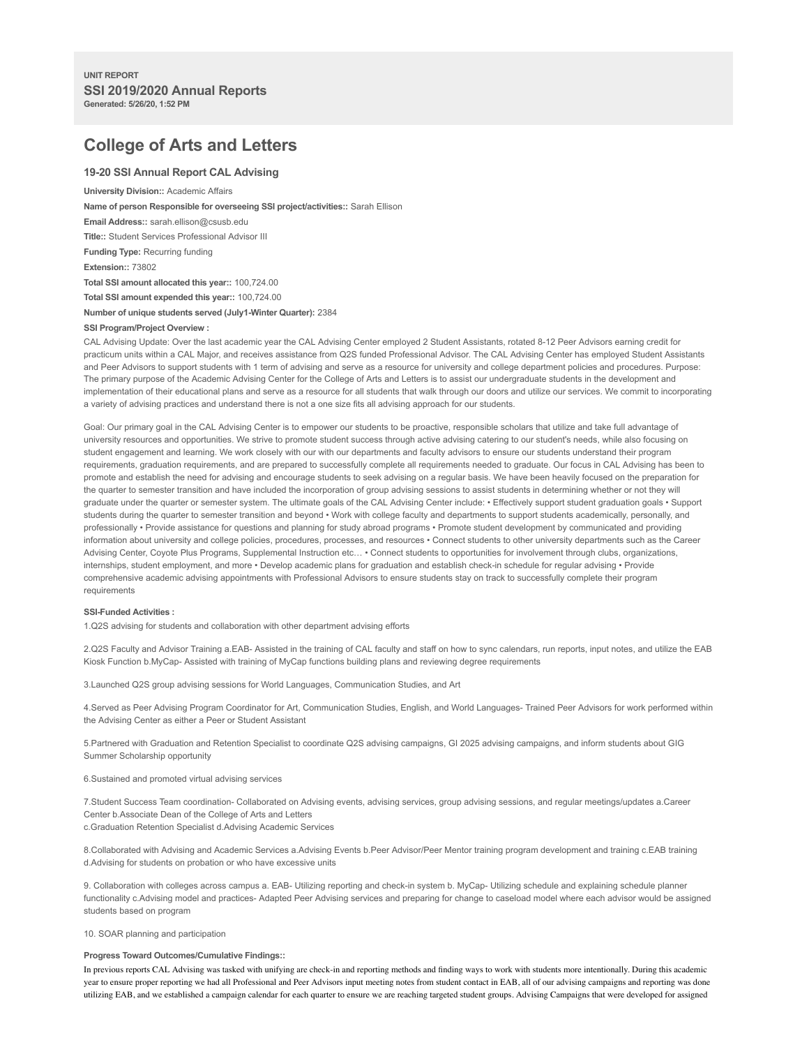# **College of Arts and Letters**

## **19-20 SSI Annual Report CAL Advising**

**University Division::** Academic Affairs

**Name of person Responsible for overseeing SSI project/activities::** Sarah Ellison

**Email Address::** sarah.ellison@csusb.edu

**Title::** Student Services Professional Advisor III

**Funding Type:** Recurring funding

**Extension::** 73802

**Total SSI amount allocated this year::** 100,724.00

**Total SSI amount expended this year::** 100,724.00

**Number of unique students served (July1-Winter Quarter):** 2384

## **SSI Program/Project Overview :**

CAL Advising Update: Over the last academic year the CAL Advising Center employed 2 Student Assistants, rotated 8-12 Peer Advisors earning credit for practicum units within a CAL Major, and receives assistance from Q2S funded Professional Advisor. The CAL Advising Center has employed Student Assistants and Peer Advisors to support students with 1 term of advising and serve as a resource for university and college department policies and procedures. Purpose: The primary purpose of the Academic Advising Center for the College of Arts and Letters is to assist our undergraduate students in the development and implementation of their educational plans and serve as a resource for all students that walk through our doors and utilize our services. We commit to incorporating a variety of advising practices and understand there is not a one size fits all advising approach for our students.

Goal: Our primary goal in the CAL Advising Center is to empower our students to be proactive, responsible scholars that utilize and take full advantage of university resources and opportunities. We strive to promote student success through active advising catering to our student's needs, while also focusing on student engagement and learning. We work closely with our with our departments and faculty advisors to ensure our students understand their program requirements, graduation requirements, and are prepared to successfully complete all requirements needed to graduate. Our focus in CAL Advising has been to promote and establish the need for advising and encourage students to seek advising on a regular basis. We have been heavily focused on the preparation for the quarter to semester transition and have included the incorporation of group advising sessions to assist students in determining whether or not they will graduate under the quarter or semester system. The ultimate goals of the CAL Advising Center include: • Effectively support student graduation goals • Support students during the quarter to semester transition and beyond • Work with college faculty and departments to support students academically, personally, and professionally • Provide assistance for questions and planning for study abroad programs • Promote student development by communicated and providing information about university and college policies, procedures, processes, and resources • Connect students to other university departments such as the Career Advising Center, Coyote Plus Programs, Supplemental Instruction etc… • Connect students to opportunities for involvement through clubs, organizations, internships, student employment, and more • Develop academic plans for graduation and establish check-in schedule for regular advising • Provide comprehensive academic advising appointments with Professional Advisors to ensure students stay on track to successfully complete their program requirements

#### **SSI-Funded Activities :**

1.Q2S advising for students and collaboration with other department advising efforts

2.Q2S Faculty and Advisor Training a.EAB- Assisted in the training of CAL faculty and staff on how to sync calendars, run reports, input notes, and utilize the EAB Kiosk Function b.MyCap- Assisted with training of MyCap functions building plans and reviewing degree requirements

3.Launched Q2S group advising sessions for World Languages, Communication Studies, and Art

4.Served as Peer Advising Program Coordinator for Art, Communication Studies, English, and World Languages- Trained Peer Advisors for work performed within the Advising Center as either a Peer or Student Assistant

5.Partnered with Graduation and Retention Specialist to coordinate Q2S advising campaigns, GI 2025 advising campaigns, and inform students about GIG Summer Scholarship opportunity

### 6.Sustained and promoted virtual advising services

7.Student Success Team coordination- Collaborated on Advising events, advising services, group advising sessions, and regular meetings/updates a.Career Center b.Associate Dean of the College of Arts and Letters c.Graduation Retention Specialist d.Advising Academic Services

8.Collaborated with Advising and Academic Services a.Advising Events b.Peer Advisor/Peer Mentor training program development and training c.EAB training d.Advising for students on probation or who have excessive units

9. Collaboration with colleges across campus a. EAB- Utilizing reporting and check-in system b. MyCap- Utilizing schedule and explaining schedule planner functionality c.Advising model and practices- Adapted Peer Advising services and preparing for change to caseload model where each advisor would be assigned students based on program

10. SOAR planning and participation

## **Progress Toward Outcomes/Cumulative Findings::**

In previous reports CAL Advising was tasked with unifying are check-in and reporting methods and finding ways to work with students more intentionally. During this academic year to ensure proper reporting we had all Professional and Peer Advisors input meeting notes from student contact in EAB, all of our advising campaigns and reporting was done utilizing EAB, and we established a campaign calendar for each quarter to ensure we are reaching targeted student groups. Advising Campaigns that were developed for assigned